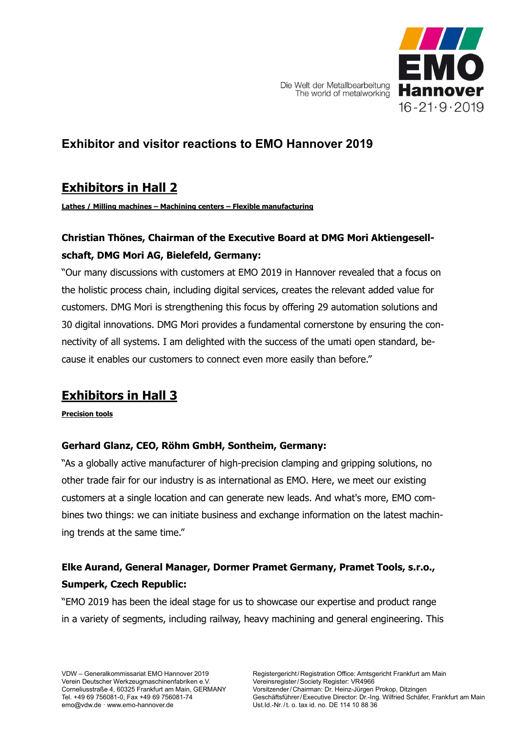

Die Welt der Metallbearbeitung The world of metalworking

# **Exhibitor and visitor reactions to EMO Hannover 2019**

# **Exhibitors in Hall 2**

**Lathes / Milling machines – Machining centers – Flexible manufacturing**

### **Christian Thönes, Chairman of the Executive Board at DMG Mori Aktiengesellschaft, DMG Mori AG, Bielefeld, Germany:**

"Our many discussions with customers at EMO 2019 in Hannover revealed that a focus on the holistic process chain, including digital services, creates the relevant added value for customers. DMG Mori is strengthening this focus by offering 29 automation solutions and 30 digital innovations. DMG Mori provides a fundamental cornerstone by ensuring the connectivity of all systems. I am delighted with the success of the umati open standard, because it enables our customers to connect even more easily than before."

# **Exhibitors in Hall 3**

**Precision tools**

#### **Gerhard Glanz, CEO, Röhm GmbH, Sontheim, Germany:**

"As a globally active manufacturer of high-precision clamping and gripping solutions, no other trade fair for our industry is as international as EMO. Here, we meet our existing customers at a single location and can generate new leads. And what's more, EMO combines two things: we can initiate business and exchange information on the latest machining trends at the same time."

# **Elke Aurand, General Manager, Dormer Pramet Germany, Pramet Tools, s.r.o., Sumperk, Czech Republic:**

"EMO 2019 has been the ideal stage for us to showcase our expertise and product range in a variety of segments, including railway, heavy machining and general engineering. This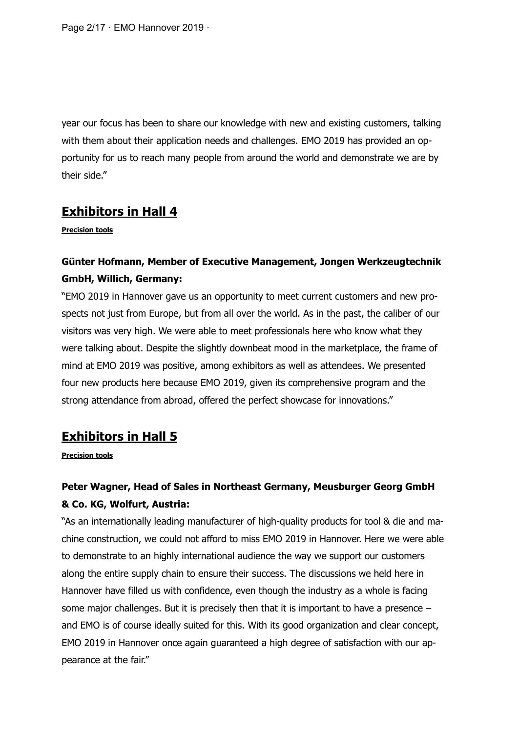year our focus has been to share our knowledge with new and existing customers, talking with them about their application needs and challenges. EMO 2019 has provided an opportunity for us to reach many people from around the world and demonstrate we are by their side."

### **Exhibitors in Hall 4**

**Precision tools**

### **Günter Hofmann, Member of Executive Management, Jongen Werkzeugtechnik GmbH, Willich, Germany:**

"EMO 2019 in Hannover gave us an opportunity to meet current customers and new prospects not just from Europe, but from all over the world. As in the past, the caliber of our visitors was very high. We were able to meet professionals here who know what they were talking about. Despite the slightly downbeat mood in the marketplace, the frame of mind at EMO 2019 was positive, among exhibitors as well as attendees. We presented four new products here because EMO 2019, given its comprehensive program and the strong attendance from abroad, offered the perfect showcase for innovations."

### **Exhibitors in Hall 5**

**Precision tools**

# **Peter Wagner, Head of Sales in Northeast Germany, Meusburger Georg GmbH & Co. KG, Wolfurt, Austria:**

"As an internationally leading manufacturer of high-quality products for tool & die and machine construction, we could not afford to miss EMO 2019 in Hannover. Here we were able to demonstrate to an highly international audience the way we support our customers along the entire supply chain to ensure their success. The discussions we held here in Hannover have filled us with confidence, even though the industry as a whole is facing some major challenges. But it is precisely then that it is important to have a presence – and EMO is of course ideally suited for this. With its good organization and clear concept, EMO 2019 in Hannover once again guaranteed a high degree of satisfaction with our appearance at the fair."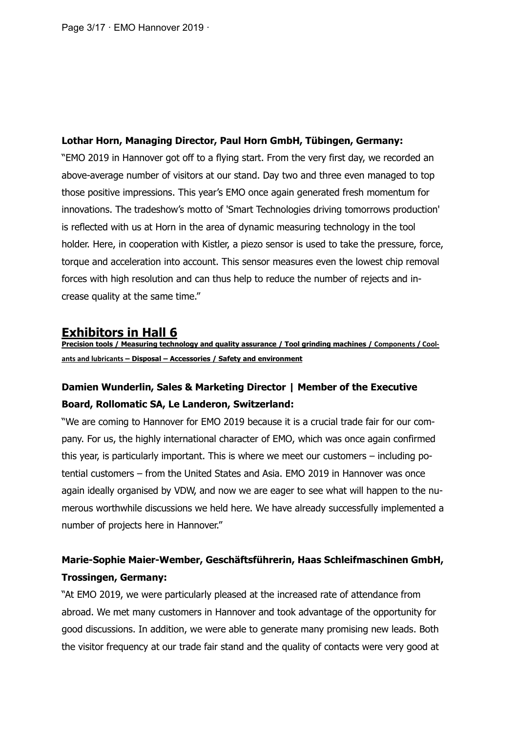Page 3/17 · EMO Hannover 2019 ·

#### **Lothar Horn, Managing Director, Paul Horn GmbH, Tübingen, Germany:**

"EMO 2019 in Hannover got off to a flying start. From the very first day, we recorded an above-average number of visitors at our stand. Day two and three even managed to top those positive impressions. This year's EMO once again generated fresh momentum for innovations. The tradeshow's motto of 'Smart Technologies driving tomorrows production' is reflected with us at Horn in the area of dynamic measuring technology in the tool holder. Here, in cooperation with Kistler, a piezo sensor is used to take the pressure, force, torque and acceleration into account. This sensor measures even the lowest chip removal forces with high resolution and can thus help to reduce the number of rejects and increase quality at the same time."

#### **Exhibitors in Hall 6**

**Precision tools / Measuring technology and quality assurance / Tool grinding machines / Components / Coolants and lubricants – Disposal – Accessories / Safety and environment**

### **Damien Wunderlin, Sales & Marketing Director | Member of the Executive Board, Rollomatic SA, Le Landeron, Switzerland:**

"We are coming to Hannover for EMO 2019 because it is a crucial trade fair for our company. For us, the highly international character of EMO, which was once again confirmed this year, is particularly important. This is where we meet our customers – including potential customers – from the United States and Asia. EMO 2019 in Hannover was once again ideally organised by VDW, and now we are eager to see what will happen to the numerous worthwhile discussions we held here. We have already successfully implemented a number of projects here in Hannover."

### **Marie-Sophie Maier-Wember, Geschäftsführerin, Haas Schleifmaschinen GmbH, Trossingen, Germany:**

"At EMO 2019, we were particularly pleased at the increased rate of attendance from abroad. We met many customers in Hannover and took advantage of the opportunity for good discussions. In addition, we were able to generate many promising new leads. Both the visitor frequency at our trade fair stand and the quality of contacts were very good at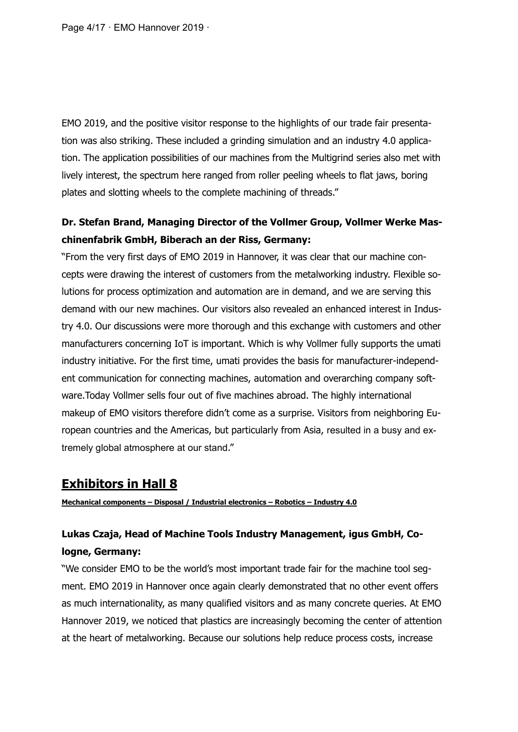Page 4/17 · EMO Hannover 2019 ·

EMO 2019, and the positive visitor response to the highlights of our trade fair presentation was also striking. These included a grinding simulation and an industry 4.0 application. The application possibilities of our machines from the Multigrind series also met with lively interest, the spectrum here ranged from roller peeling wheels to flat jaws, boring plates and slotting wheels to the complete machining of threads."

### **Dr. Stefan Brand, Managing Director of the Vollmer Group, Vollmer Werke Maschinenfabrik GmbH, Biberach an der Riss, Germany:**

"From the very first days of EMO 2019 in Hannover, it was clear that our machine concepts were drawing the interest of customers from the metalworking industry. Flexible solutions for process optimization and automation are in demand, and we are serving this demand with our new machines. Our visitors also revealed an enhanced interest in Industry 4.0. Our discussions were more thorough and this exchange with customers and other manufacturers concerning IoT is important. Which is why Vollmer fully supports the umati industry initiative. For the first time, umati provides the basis for manufacturer-independent communication for connecting machines, automation and overarching company software.Today Vollmer sells four out of five machines abroad. The highly international makeup of EMO visitors therefore didn't come as a surprise. Visitors from neighboring European countries and the Americas, but particularly from Asia, resulted in a busy and extremely global atmosphere at our stand."

### **Exhibitors in Hall 8**

**Mechanical components – Disposal / Industrial electronics – Robotics – Industry 4.0**

### **Lukas Czaja, Head of Machine Tools Industry Management, igus GmbH, Cologne, Germany:**

"We consider EMO to be the world's most important trade fair for the machine tool segment. EMO 2019 in Hannover once again clearly demonstrated that no other event offers as much internationality, as many qualified visitors and as many concrete queries. At EMO Hannover 2019, we noticed that plastics are increasingly becoming the center of attention at the heart of metalworking. Because our solutions help reduce process costs, increase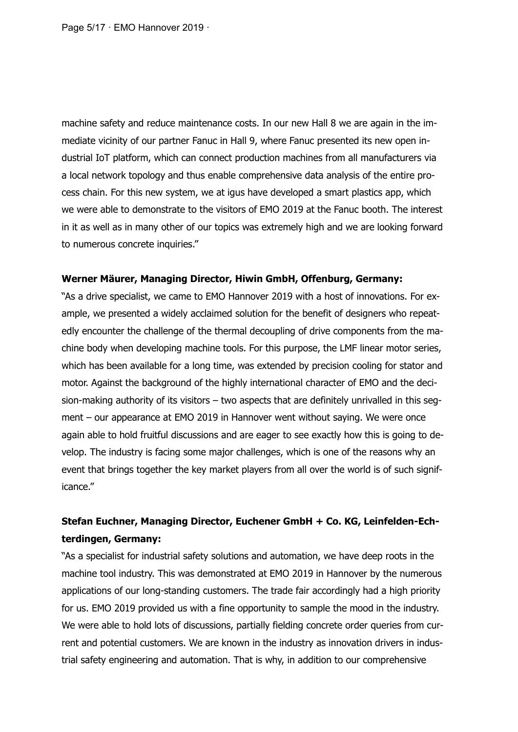Page 5/17 · EMO Hannover 2019 ·

machine safety and reduce maintenance costs. In our new Hall 8 we are again in the immediate vicinity of our partner Fanuc in Hall 9, where Fanuc presented its new open industrial IoT platform, which can connect production machines from all manufacturers via a local network topology and thus enable comprehensive data analysis of the entire process chain. For this new system, we at igus have developed a smart plastics app, which we were able to demonstrate to the visitors of EMO 2019 at the Fanuc booth. The interest in it as well as in many other of our topics was extremely high and we are looking forward to numerous concrete inquiries."

#### **Werner Mäurer, Managing Director, Hiwin GmbH, Offenburg, Germany:**

"As a drive specialist, we came to EMO Hannover 2019 with a host of innovations. For example, we presented a widely acclaimed solution for the benefit of designers who repeatedly encounter the challenge of the thermal decoupling of drive components from the machine body when developing machine tools. For this purpose, the LMF linear motor series, which has been available for a long time, was extended by precision cooling for stator and motor. Against the background of the highly international character of EMO and the decision-making authority of its visitors – two aspects that are definitely unrivalled in this segment – our appearance at EMO 2019 in Hannover went without saying. We were once again able to hold fruitful discussions and are eager to see exactly how this is going to develop. The industry is facing some major challenges, which is one of the reasons why an event that brings together the key market players from all over the world is of such significance."

### **Stefan Euchner, Managing Director, Euchener GmbH + Co. KG, Leinfelden-Echterdingen, Germany:**

"As a specialist for industrial safety solutions and automation, we have deep roots in the machine tool industry. This was demonstrated at EMO 2019 in Hannover by the numerous applications of our long-standing customers. The trade fair accordingly had a high priority for us. EMO 2019 provided us with a fine opportunity to sample the mood in the industry. We were able to hold lots of discussions, partially fielding concrete order queries from current and potential customers. We are known in the industry as innovation drivers in industrial safety engineering and automation. That is why, in addition to our comprehensive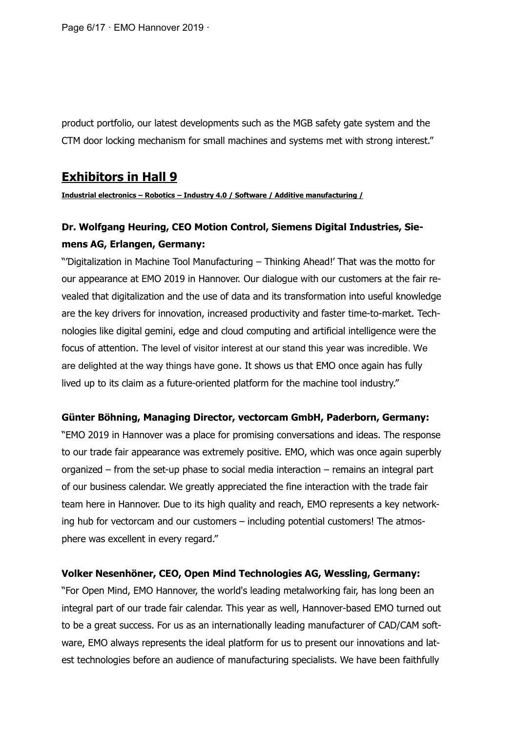Page 6/17 · EMO Hannover 2019 ·

product portfolio, our latest developments such as the MGB safety gate system and the CTM door locking mechanism for small machines and systems met with strong interest."

#### **Exhibitors in Hall 9**

**Industrial electronics – Robotics – Industry 4.0 / Software / Additive manufacturing /** 

### **Dr. Wolfgang Heuring, CEO Motion Control, Siemens Digital Industries, Siemens AG, Erlangen, Germany:**

"'Digitalization in Machine Tool Manufacturing – Thinking Ahead!' That was the motto for our appearance at EMO 2019 in Hannover. Our dialogue with our customers at the fair revealed that digitalization and the use of data and its transformation into useful knowledge are the key drivers for innovation, increased productivity and faster time-to-market. Technologies like digital gemini, edge and cloud computing and artificial intelligence were the focus of attention. The level of visitor interest at our stand this year was incredible. We are delighted at the way things have gone. It shows us that EMO once again has fully lived up to its claim as a future-oriented platform for the machine tool industry."

#### **Günter Böhning, Managing Director, vectorcam GmbH, Paderborn, Germany:**

"EMO 2019 in Hannover was a place for promising conversations and ideas. The response to our trade fair appearance was extremely positive. EMO, which was once again superbly organized – from the set-up phase to social media interaction – remains an integral part of our business calendar. We greatly appreciated the fine interaction with the trade fair team here in Hannover. Due to its high quality and reach, EMO represents a key networking hub for vectorcam and our customers – including potential customers! The atmosphere was excellent in every regard."

#### **Volker Nesenhöner, CEO, Open Mind Technologies AG, Wessling, Germany:**

"For Open Mind, EMO Hannover, the world's leading metalworking fair, has long been an integral part of our trade fair calendar. This year as well, Hannover-based EMO turned out to be a great success. For us as an internationally leading manufacturer of CAD/CAM software, EMO always represents the ideal platform for us to present our innovations and latest technologies before an audience of manufacturing specialists. We have been faithfully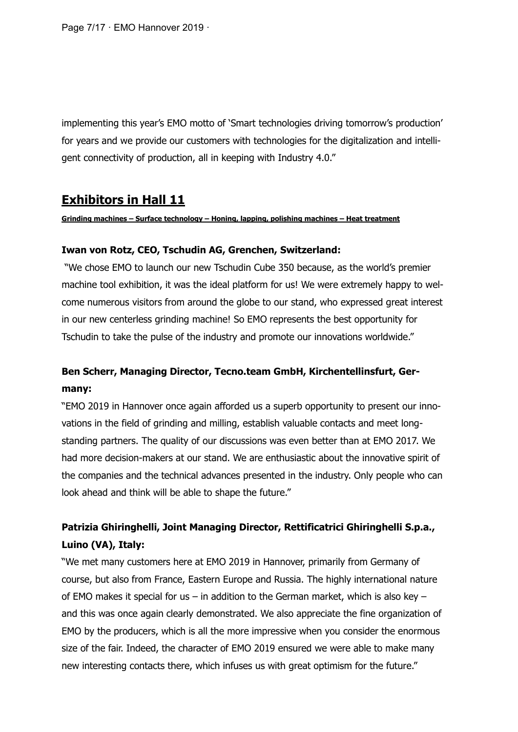Page 7/17 · EMO Hannover 2019 ·

implementing this year's EMO motto of 'Smart technologies driving tomorrow's production' for years and we provide our customers with technologies for the digitalization and intelligent connectivity of production, all in keeping with Industry 4.0."

### **Exhibitors in Hall 11**

#### **Grinding machines – Surface technology – Honing, lapping, polishing machines – Heat treatment**

#### **Iwan von Rotz, CEO, Tschudin AG, Grenchen, Switzerland:**

"We chose EMO to launch our new Tschudin Cube 350 because, as the world's premier machine tool exhibition, it was the ideal platform for us! We were extremely happy to welcome numerous visitors from around the globe to our stand, who expressed great interest in our new centerless grinding machine! So EMO represents the best opportunity for Tschudin to take the pulse of the industry and promote our innovations worldwide."

### **Ben Scherr, Managing Director, Tecno.team GmbH, Kirchentellinsfurt, Germany:**

"EMO 2019 in Hannover once again afforded us a superb opportunity to present our innovations in the field of grinding and milling, establish valuable contacts and meet longstanding partners. The quality of our discussions was even better than at EMO 2017. We had more decision-makers at our stand. We are enthusiastic about the innovative spirit of the companies and the technical advances presented in the industry. Only people who can look ahead and think will be able to shape the future."

### **Patrizia Ghiringhelli, Joint Managing Director, Rettificatrici Ghiringhelli S.p.a., Luino (VA), Italy:**

"We met many customers here at EMO 2019 in Hannover, primarily from Germany of course, but also from France, Eastern Europe and Russia. The highly international nature of EMO makes it special for us – in addition to the German market, which is also key – and this was once again clearly demonstrated. We also appreciate the fine organization of EMO by the producers, which is all the more impressive when you consider the enormous size of the fair. Indeed, the character of EMO 2019 ensured we were able to make many new interesting contacts there, which infuses us with great optimism for the future."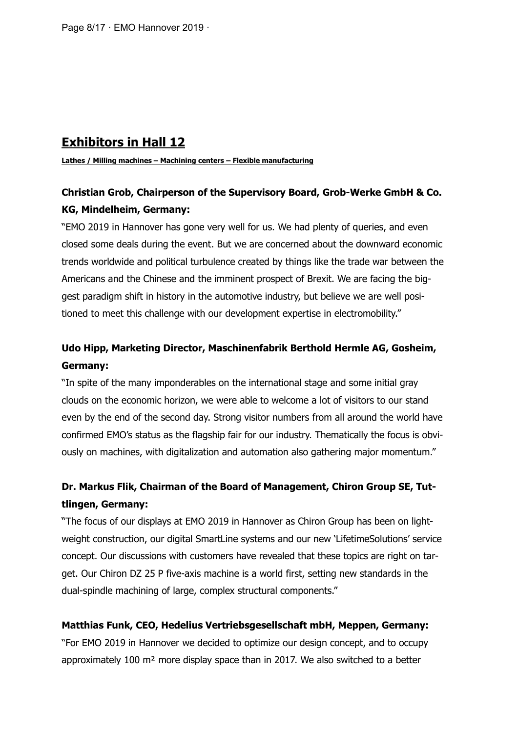# **Exhibitors in Hall 12**

**Lathes / Milling machines – Machining centers – Flexible manufacturing**

### **Christian Grob, Chairperson of the Supervisory Board, Grob-Werke GmbH & Co. KG, Mindelheim, Germany:**

"EMO 2019 in Hannover has gone very well for us. We had plenty of queries, and even closed some deals during the event. But we are concerned about the downward economic trends worldwide and political turbulence created by things like the trade war between the Americans and the Chinese and the imminent prospect of Brexit. We are facing the biggest paradigm shift in history in the automotive industry, but believe we are well positioned to meet this challenge with our development expertise in electromobility."

### **Udo Hipp, Marketing Director, Maschinenfabrik Berthold Hermle AG, Gosheim, Germany:**

"In spite of the many imponderables on the international stage and some initial gray clouds on the economic horizon, we were able to welcome a lot of visitors to our stand even by the end of the second day. Strong visitor numbers from all around the world have confirmed EMO's status as the flagship fair for our industry. Thematically the focus is obviously on machines, with digitalization and automation also gathering major momentum."

# **Dr. Markus Flik, Chairman of the Board of Management, Chiron Group SE, Tuttlingen, Germany:**

"The focus of our displays at EMO 2019 in Hannover as Chiron Group has been on lightweight construction, our digital SmartLine systems and our new 'LifetimeSolutions' service concept. Our discussions with customers have revealed that these topics are right on target. Our Chiron DZ 25 P five-axis machine is a world first, setting new standards in the dual-spindle machining of large, complex structural components."

#### **Matthias Funk, CEO, Hedelius Vertriebsgesellschaft mbH, Meppen, Germany:**

"For EMO 2019 in Hannover we decided to optimize our design concept, and to occupy approximately 100 m² more display space than in 2017. We also switched to a better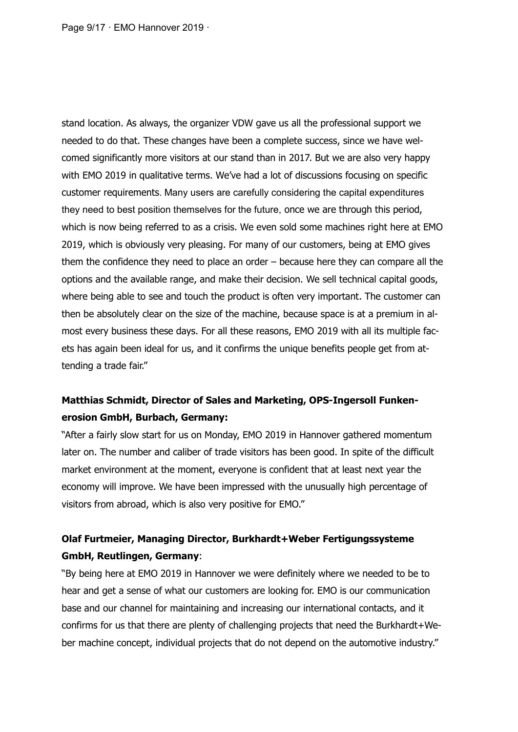Page 9/17 · EMO Hannover 2019 ·

stand location. As always, the organizer VDW gave us all the professional support we needed to do that. These changes have been a complete success, since we have welcomed significantly more visitors at our stand than in 2017. But we are also very happy with EMO 2019 in qualitative terms. We've had a lot of discussions focusing on specific customer requirements. Many users are carefully considering the capital expenditures they need to best position themselves for the future, once we are through this period, which is now being referred to as a crisis. We even sold some machines right here at EMO 2019, which is obviously very pleasing. For many of our customers, being at EMO gives them the confidence they need to place an order – because here they can compare all the options and the available range, and make their decision. We sell technical capital goods, where being able to see and touch the product is often very important. The customer can then be absolutely clear on the size of the machine, because space is at a premium in almost every business these days. For all these reasons, EMO 2019 with all its multiple facets has again been ideal for us, and it confirms the unique benefits people get from attending a trade fair."

### **Matthias Schmidt, Director of Sales and Marketing, OPS-Ingersoll Funkenerosion GmbH, Burbach, Germany:**

"After a fairly slow start for us on Monday, EMO 2019 in Hannover gathered momentum later on. The number and caliber of trade visitors has been good. In spite of the difficult market environment at the moment, everyone is confident that at least next year the economy will improve. We have been impressed with the unusually high percentage of visitors from abroad, which is also very positive for EMO."

### **Olaf Furtmeier, Managing Director, Burkhardt+Weber Fertigungssysteme GmbH, Reutlingen, Germany**:

"By being here at EMO 2019 in Hannover we were definitely where we needed to be to hear and get a sense of what our customers are looking for. EMO is our communication base and our channel for maintaining and increasing our international contacts, and it confirms for us that there are plenty of challenging projects that need the Burkhardt+Weber machine concept, individual projects that do not depend on the automotive industry."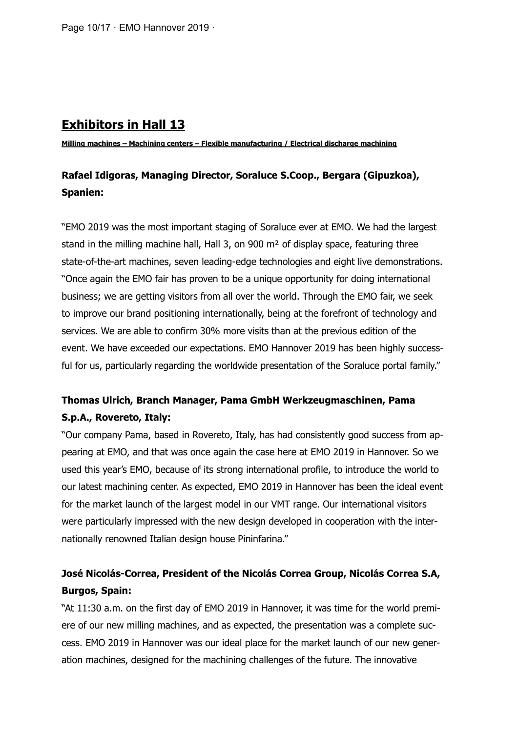### **Exhibitors in Hall 13**

**Milling machines – Machining centers – Flexible manufacturing / Electrical discharge machining**

### **Rafael Idigoras, Managing Director, Soraluce S.Coop., Bergara (Gipuzkoa), Spanien:**

"EMO 2019 was the most important staging of Soraluce ever at EMO. We had the largest stand in the milling machine hall, Hall 3, on 900 m<sup>2</sup> of display space, featuring three state-of-the-art machines, seven leading-edge technologies and eight live demonstrations. "Once again the EMO fair has proven to be a unique opportunity for doing international business; we are getting visitors from all over the world. Through the EMO fair, we seek to improve our brand positioning internationally, being at the forefront of technology and services. We are able to confirm 30% more visits than at the previous edition of the event. We have exceeded our expectations. EMO Hannover 2019 has been highly successful for us, particularly regarding the worldwide presentation of the Soraluce portal family."

### **Thomas Ulrich, Branch Manager, Pama GmbH Werkzeugmaschinen, Pama S.p.A., Rovereto, Italy:**

"Our company Pama, based in Rovereto, Italy, has had consistently good success from appearing at EMO, and that was once again the case here at EMO 2019 in Hannover. So we used this year's EMO, because of its strong international profile, to introduce the world to our latest machining center. As expected, EMO 2019 in Hannover has been the ideal event for the market launch of the largest model in our VMT range. Our international visitors were particularly impressed with the new design developed in cooperation with the internationally renowned Italian design house Pininfarina."

### **José Nicolás-Correa, President of the Nicolás Correa Group, Nicolás Correa S.A, Burgos, Spain:**

"At 11:30 a.m. on the first day of EMO 2019 in Hannover, it was time for the world premiere of our new milling machines, and as expected, the presentation was a complete success. EMO 2019 in Hannover was our ideal place for the market launch of our new generation machines, designed for the machining challenges of the future. The innovative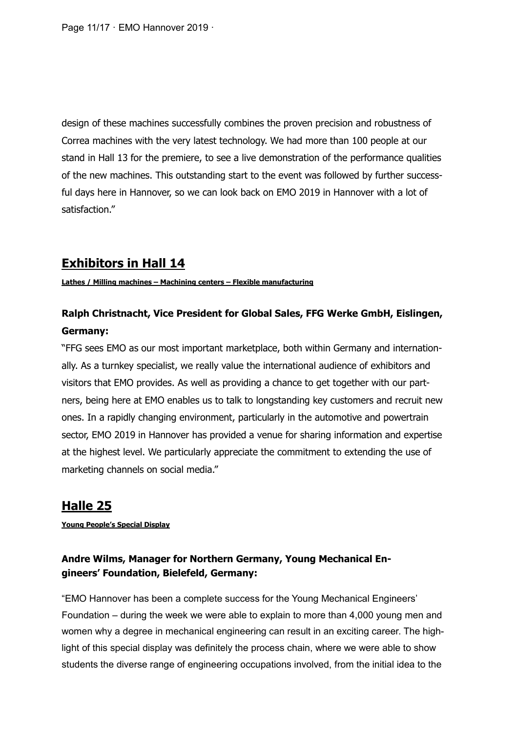Page 11/17 · EMO Hannover 2019 ·

design of these machines successfully combines the proven precision and robustness of Correa machines with the very latest technology. We had more than 100 people at our stand in Hall 13 for the premiere, to see a live demonstration of the performance qualities of the new machines. This outstanding start to the event was followed by further successful days here in Hannover, so we can look back on EMO 2019 in Hannover with a lot of satisfaction."

# **Exhibitors in Hall 14**

**Lathes / Milling machines – Machining centers – Flexible manufacturing**

### **Ralph Christnacht, Vice President for Global Sales, FFG Werke GmbH, Eislingen, Germany:**

"FFG sees EMO as our most important marketplace, both within Germany and internationally. As a turnkey specialist, we really value the international audience of exhibitors and visitors that EMO provides. As well as providing a chance to get together with our partners, being here at EMO enables us to talk to longstanding key customers and recruit new ones. In a rapidly changing environment, particularly in the automotive and powertrain sector, EMO 2019 in Hannover has provided a venue for sharing information and expertise at the highest level. We particularly appreciate the commitment to extending the use of marketing channels on social media."

# **Halle 25**

**Young People's Special Display**

#### **Andre Wilms, Manager for Northern Germany, Young Mechanical Engineers' Foundation, Bielefeld, Germany:**

"EMO Hannover has been a complete success for the Young Mechanical Engineers' Foundation – during the week we were able to explain to more than 4,000 young men and women why a degree in mechanical engineering can result in an exciting career. The highlight of this special display was definitely the process chain, where we were able to show students the diverse range of engineering occupations involved, from the initial idea to the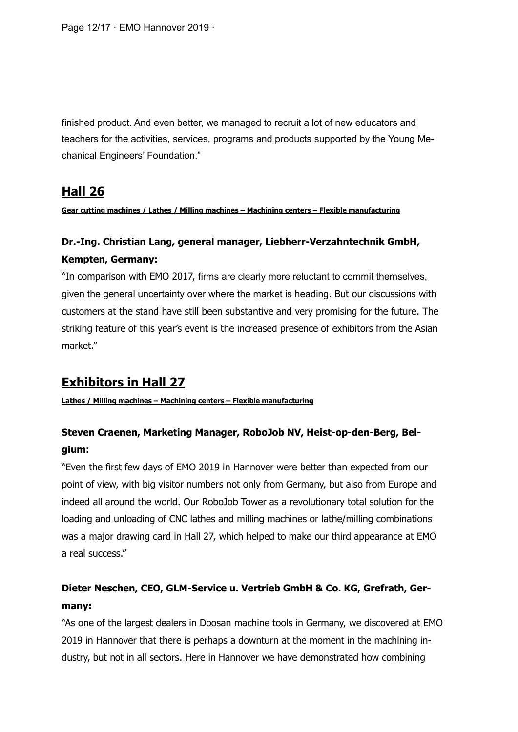finished product. And even better, we managed to recruit a lot of new educators and teachers for the activities, services, programs and products supported by the Young Mechanical Engineers' Foundation."

### **Hall 26**

**Gear cutting machines / Lathes / Milling machines – Machining centers – Flexible manufacturing**

# **Dr.-Ing. Christian Lang, general manager, Liebherr-Verzahntechnik GmbH, Kempten, Germany:**

"In comparison with EMO 2017, firms are clearly more reluctant to commit themselves, given the general uncertainty over where the market is heading. But our discussions with customers at the stand have still been substantive and very promising for the future. The striking feature of this year's event is the increased presence of exhibitors from the Asian market."

# **Exhibitors in Hall 27**

**Lathes / Milling machines – Machining centers – Flexible manufacturing**

### **Steven Craenen, Marketing Manager, RoboJob NV, Heist-op-den-Berg, Belgium:**

"Even the first few days of EMO 2019 in Hannover were better than expected from our point of view, with big visitor numbers not only from Germany, but also from Europe and indeed all around the world. Our RoboJob Tower as a revolutionary total solution for the loading and unloading of CNC lathes and milling machines or lathe/milling combinations was a major drawing card in Hall 27, which helped to make our third appearance at EMO a real success."

### **Dieter Neschen, CEO, GLM-Service u. Vertrieb GmbH & Co. KG, Grefrath, Germany:**

"As one of the largest dealers in Doosan machine tools in Germany, we discovered at EMO 2019 in Hannover that there is perhaps a downturn at the moment in the machining industry, but not in all sectors. Here in Hannover we have demonstrated how combining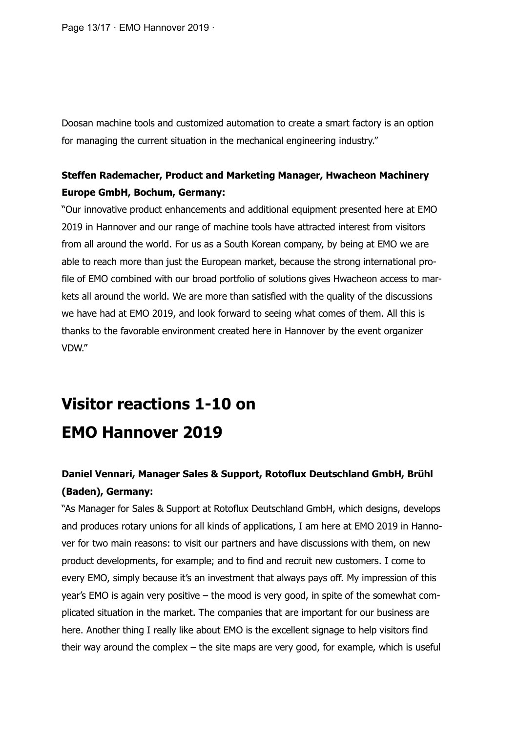Page 13/17 · EMO Hannover 2019 ·

Doosan machine tools and customized automation to create a smart factory is an option for managing the current situation in the mechanical engineering industry."

### **Steffen Rademacher, Product and Marketing Manager, Hwacheon Machinery Europe GmbH, Bochum, Germany:**

"Our innovative product enhancements and additional equipment presented here at EMO 2019 in Hannover and our range of machine tools have attracted interest from visitors from all around the world. For us as a South Korean company, by being at EMO we are able to reach more than just the European market, because the strong international profile of EMO combined with our broad portfolio of solutions gives Hwacheon access to markets all around the world. We are more than satisfied with the quality of the discussions we have had at EMO 2019, and look forward to seeing what comes of them. All this is thanks to the favorable environment created here in Hannover by the event organizer VDW."

# **Visitor reactions 1-10 on EMO Hannover 2019**

### **Daniel Vennari, Manager Sales & Support, Rotoflux Deutschland GmbH, Brühl (Baden), Germany:**

"As Manager for Sales & Support at Rotoflux Deutschland GmbH, which designs, develops and produces rotary unions for all kinds of applications, I am here at EMO 2019 in Hannover for two main reasons: to visit our partners and have discussions with them, on new product developments, for example; and to find and recruit new customers. I come to every EMO, simply because it's an investment that always pays off. My impression of this year's EMO is again very positive – the mood is very good, in spite of the somewhat complicated situation in the market. The companies that are important for our business are here. Another thing I really like about EMO is the excellent signage to help visitors find their way around the complex – the site maps are very good, for example, which is useful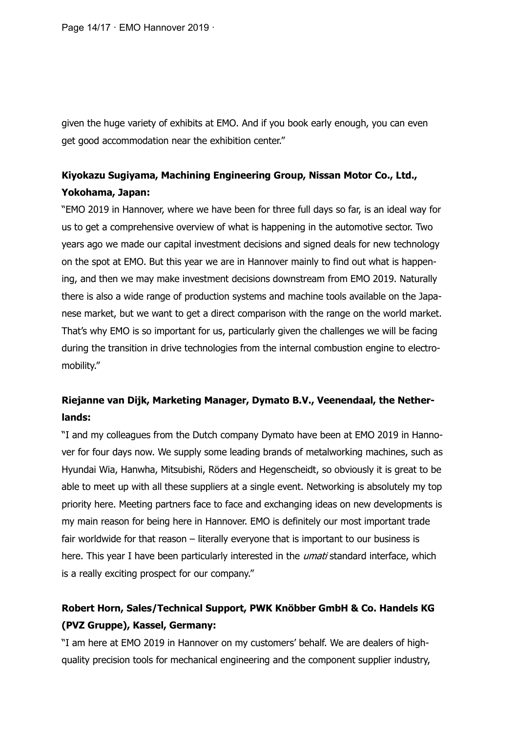Page 14/17 · EMO Hannover 2019 ·

given the huge variety of exhibits at EMO. And if you book early enough, you can even get good accommodation near the exhibition center."

### **Kiyokazu Sugiyama, Machining Engineering Group, Nissan Motor Co., Ltd., Yokohama, Japan:**

"EMO 2019 in Hannover, where we have been for three full days so far, is an ideal way for us to get a comprehensive overview of what is happening in the automotive sector. Two years ago we made our capital investment decisions and signed deals for new technology on the spot at EMO. But this year we are in Hannover mainly to find out what is happening, and then we may make investment decisions downstream from EMO 2019. Naturally there is also a wide range of production systems and machine tools available on the Japanese market, but we want to get a direct comparison with the range on the world market. That's why EMO is so important for us, particularly given the challenges we will be facing during the transition in drive technologies from the internal combustion engine to electromobility."

### **Riejanne van Dijk, Marketing Manager, Dymato B.V., Veenendaal, the Netherlands:**

"I and my colleagues from the Dutch company Dymato have been at EMO 2019 in Hannover for four days now. We supply some leading brands of metalworking machines, such as Hyundai Wia, Hanwha, Mitsubishi, Röders and Hegenscheidt, so obviously it is great to be able to meet up with all these suppliers at a single event. Networking is absolutely my top priority here. Meeting partners face to face and exchanging ideas on new developments is my main reason for being here in Hannover. EMO is definitely our most important trade fair worldwide for that reason – literally everyone that is important to our business is here. This year I have been particularly interested in the *umati* standard interface, which is a really exciting prospect for our company."

# **Robert Horn, Sales/Technical Support, PWK Knöbber GmbH & Co. Handels KG (PVZ Gruppe), Kassel, Germany:**

"I am here at EMO 2019 in Hannover on my customers' behalf. We are dealers of highquality precision tools for mechanical engineering and the component supplier industry,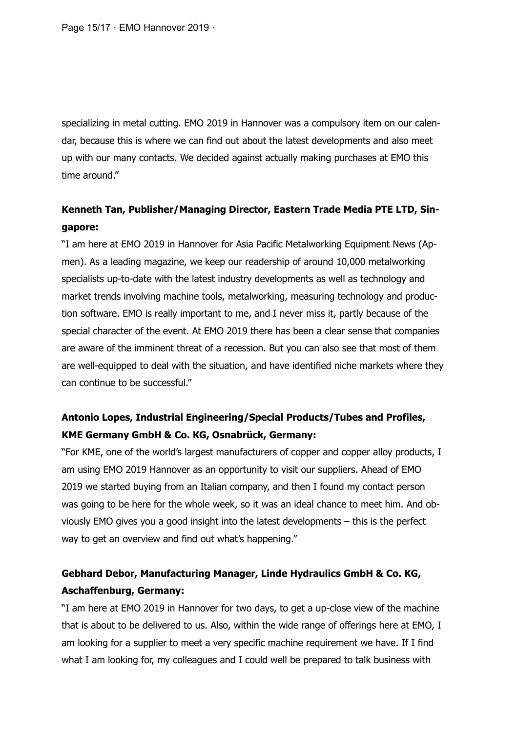Page 15/17 · EMO Hannover 2019 ·

specializing in metal cutting. EMO 2019 in Hannover was a compulsory item on our calendar, because this is where we can find out about the latest developments and also meet up with our many contacts. We decided against actually making purchases at EMO this time around."

### **Kenneth Tan, Publisher/Managing Director, Eastern Trade Media PTE LTD, Singapore:**

"I am here at EMO 2019 in Hannover for Asia Pacific Metalworking Equipment News (Apmen). As a leading magazine, we keep our readership of around 10,000 metalworking specialists up-to-date with the latest industry developments as well as technology and market trends involving machine tools, metalworking, measuring technology and production software. EMO is really important to me, and I never miss it, partly because of the special character of the event. At EMO 2019 there has been a clear sense that companies are aware of the imminent threat of a recession. But you can also see that most of them are well-equipped to deal with the situation, and have identified niche markets where they can continue to be successful."

### **Antonio Lopes, Industrial Engineering/Special Products/Tubes and Profiles, KME Germany GmbH & Co. KG, Osnabrück, Germany:**

"For KME, one of the world's largest manufacturers of copper and copper alloy products, I am using EMO 2019 Hannover as an opportunity to visit our suppliers. Ahead of EMO 2019 we started buying from an Italian company, and then I found my contact person was going to be here for the whole week, so it was an ideal chance to meet him. And obviously EMO gives you a good insight into the latest developments – this is the perfect way to get an overview and find out what's happening."

### **Gebhard Debor, Manufacturing Manager, Linde Hydraulics GmbH & Co. KG, Aschaffenburg, Germany:**

"I am here at EMO 2019 in Hannover for two days, to get a up-close view of the machine that is about to be delivered to us. Also, within the wide range of offerings here at EMO, I am looking for a supplier to meet a very specific machine requirement we have. If I find what I am looking for, my colleagues and I could well be prepared to talk business with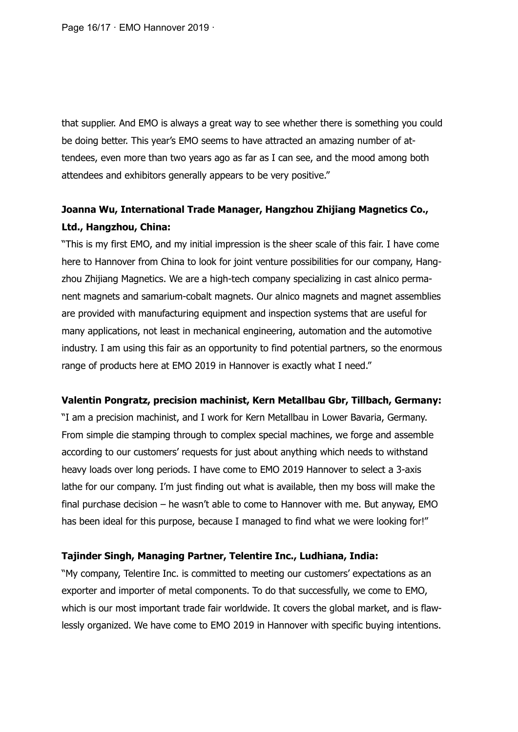Page 16/17 · EMO Hannover 2019 ·

that supplier. And EMO is always a great way to see whether there is something you could be doing better. This year's EMO seems to have attracted an amazing number of attendees, even more than two years ago as far as I can see, and the mood among both attendees and exhibitors generally appears to be very positive."

### **Joanna Wu, International Trade Manager, Hangzhou Zhijiang Magnetics Co., Ltd., Hangzhou, China:**

"This is my first EMO, and my initial impression is the sheer scale of this fair. I have come here to Hannover from China to look for joint venture possibilities for our company, Hangzhou Zhijiang Magnetics. We are a high-tech company specializing in cast alnico permanent magnets and samarium-cobalt magnets. Our alnico magnets and magnet assemblies are provided with manufacturing equipment and inspection systems that are useful for many applications, not least in mechanical engineering, automation and the automotive industry. I am using this fair as an opportunity to find potential partners, so the enormous range of products here at EMO 2019 in Hannover is exactly what I need."

#### **Valentin Pongratz, precision machinist, Kern Metallbau Gbr, Tillbach, Germany:**

"I am a precision machinist, and I work for Kern Metallbau in Lower Bavaria, Germany. From simple die stamping through to complex special machines, we forge and assemble according to our customers' requests for just about anything which needs to withstand heavy loads over long periods. I have come to EMO 2019 Hannover to select a 3-axis lathe for our company. I'm just finding out what is available, then my boss will make the final purchase decision – he wasn't able to come to Hannover with me. But anyway, EMO has been ideal for this purpose, because I managed to find what we were looking for!"

#### **Tajinder Singh, Managing Partner, Telentire Inc., Ludhiana, India:**

"My company, Telentire Inc. is committed to meeting our customers' expectations as an exporter and importer of metal components. To do that successfully, we come to EMO, which is our most important trade fair worldwide. It covers the global market, and is flawlessly organized. We have come to EMO 2019 in Hannover with specific buying intentions.